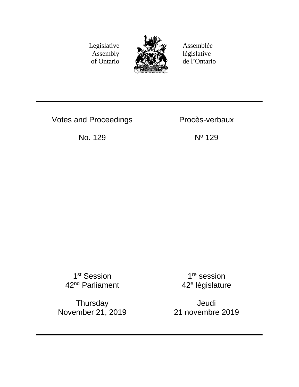Legislative Assembly of Ontario



Assemblée législative de l'Ontario

Votes and Proceedings Procès-verbaux

No. 129 N<sup>o</sup> 129

1<sup>st</sup> Session 42<sup>nd</sup> Parliament

**Thursday** November 21, 2019

1<sup>re</sup> session 42<sup>e</sup> législature

Jeudi 21 novembre 2019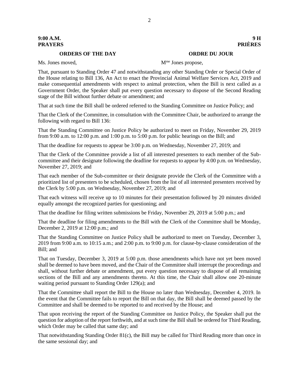#### **ORDERS OF THE DAY ORDRE DU JOUR**

Ms. Jones moved, M<sup>me</sup> Jones propose,

That, pursuant to Standing Order 47 and notwithstanding any other Standing Order or Special Order of the House relating to Bill 136, An Act to enact the Provincial Animal Welfare Services Act, 2019 and make consequential amendments with respect to animal protection, when the Bill is next called as a Government Order, the Speaker shall put every question necessary to dispose of the Second Reading stage of the Bill without further debate or amendment; and

That at such time the Bill shall be ordered referred to the Standing Committee on Justice Policy; and

That the Clerk of the Committee, in consultation with the Committee Chair, be authorized to arrange the following with regard to Bill 136:

That the Standing Committee on Justice Policy be authorized to meet on Friday, November 29, 2019 from 9:00 a.m. to 12:00 p.m. and 1:00 p.m. to 5:00 p.m. for public hearings on the Bill; and

That the deadline for requests to appear be 3:00 p.m. on Wednesday, November 27, 2019; and

That the Clerk of the Committee provide a list of all interested presenters to each member of the Subcommittee and their designate following the deadline for requests to appear by 4:00 p.m. on Wednesday, November 27, 2019; and

That each member of the Sub-committee or their designate provide the Clerk of the Committee with a prioritized list of presenters to be scheduled, chosen from the list of all interested presenters received by the Clerk by 5:00 p.m. on Wednesday, November 27, 2019; and

That each witness will receive up to 10 minutes for their presentation followed by 20 minutes divided equally amongst the recognized parties for questioning; and

That the deadline for filing written submissions be Friday, November 29, 2019 at 5:00 p.m.; and

That the deadline for filing amendments to the Bill with the Clerk of the Committee shall be Monday, December 2, 2019 at 12:00 p.m.; and

That the Standing Committee on Justice Policy shall be authorized to meet on Tuesday, December 3, 2019 from 9:00 a.m. to 10:15 a.m.; and 2:00 p.m. to 9:00 p.m. for clause-by-clause consideration of the Bill; and

That on Tuesday, December 3, 2019 at 5:00 p.m. those amendments which have not yet been moved shall be deemed to have been moved, and the Chair of the Committee shall interrupt the proceedings and shall, without further debate or amendment, put every question necessary to dispose of all remaining sections of the Bill and any amendments thereto. At this time, the Chair shall allow one 20-minute waiting period pursuant to Standing Order 129(a); and

That the Committee shall report the Bill to the House no later than Wednesday, December 4, 2019. In the event that the Committee fails to report the Bill on that day, the Bill shall be deemed passed by the Committee and shall be deemed to be reported to and received by the House; and

That upon receiving the report of the Standing Committee on Justice Policy, the Speaker shall put the question for adoption of the report forthwith, and at such time the Bill shall be ordered for Third Reading, which Order may be called that same day; and

That notwithstanding Standing Order 81(c), the Bill may be called for Third Reading more than once in the same sessional day; and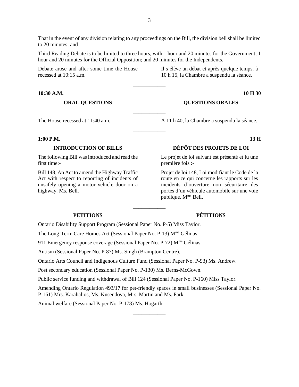That in the event of any division relating to any proceedings on the Bill, the division bell shall be limited to 20 minutes; and

Third Reading Debate is to be limited to three hours, with 1 hour and 20 minutes for the Government; 1 hour and 20 minutes for the Official Opposition; and 20 minutes for the Independents.

\_\_\_\_\_\_\_\_\_\_\_\_

\_\_\_\_\_\_\_\_\_\_\_\_

\_\_\_\_\_\_\_\_\_\_\_\_

\_\_\_\_\_\_\_\_\_\_\_\_

Debate arose and after some time the House recessed at 10:15 a.m.

Il s'élève un débat et après quelque temps, à 10 h 15, la Chambre a suspendu la séance.

**10:30 A.M. 10 H 30**

### **ORAL QUESTIONS QUESTIONS ORALES**

The House recessed at 11:40 a.m.  $\hat{A}$  11 h 40, la Chambre a suspendu la séance.

#### **1:00 P.M. 13 H**

The following Bill was introduced and read the first time:-

Bill 148, An Act to amend the Highway Traffic Act with respect to reporting of incidents of unsafely opening a motor vehicle door on a highway. Ms. Bell.

## **INTRODUCTION OF BILLS DÉPÔT DES PROJETS DE LOI**

Le projet de loi suivant est présenté et lu une première fois :-

Projet de loi 148, Loi modifiant le Code de la route en ce qui concerne les rapports sur les incidents d'ouverture non sécuritaire des portes d'un véhicule automobile sur une voie publique. Mme Bell.

### **PETITIONS PÉTITIONS**

Ontario Disability Support Program (Sessional Paper No. P-5) Miss Taylor.

The Long-Term Care Homes Act (Sessional Paper No. P-13) M<sup>me</sup> Gélinas.

911 Emergency response coverage (Sessional Paper No. P-72) Mme Gélinas.

Autism (Sessional Paper No. P-87) Ms. Singh (Brampton Centre).

Ontario Arts Council and Indigenous Culture Fund (Sessional Paper No. P-93) Ms. Andrew.

Post secondary education (Sessional Paper No. P-130) Ms. Berns-McGown.

Public service funding and withdrawal of Bill 124 (Sessional Paper No. P-160) Miss Taylor.

Amending Ontario Regulation 493/17 for pet-friendly spaces in small businesses (Sessional Paper No. P-161) Mrs. Karahalios, Ms. Kusendova, Mrs. Martin and Ms. Park.

\_\_\_\_\_\_\_\_\_\_\_\_

Animal welfare (Sessional Paper No. P-178) Ms. Hogarth.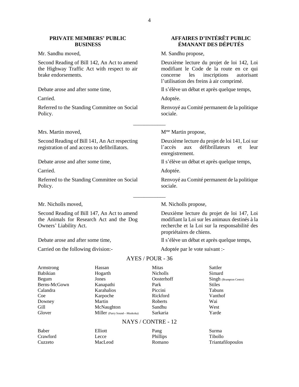#### **PRIVATE MEMBERS' PUBLIC BUSINESS**

Second Reading of Bill 142, An Act to amend the Highway Traffic Act with respect to air brake endorsements.

Referred to the Standing Committee on Social Policy.

Second Reading of Bill 141, An Act respecting registration of and access to defibrillators.

Referred to the Standing Committee on Social Policy.

Second Reading of Bill 147, An Act to amend the Animals for Research Act and the Dog Owners' Liability Act.

Carried on the following division:- Adoptée par le vote suivant :-

## **AFFAIRES D'INTÉRÊT PUBLIC ÉMANANT DES DÉPUTÉS**

Mr. Sandhu moved, M. Sandhu propose,

Deuxième lecture du projet de loi 142, Loi modifiant le Code de la route en ce qui concerne les inscriptions autorisant l'utilisation des freins à air comprimé.

Debate arose and after some time, Il s'élève un débat et après quelque temps,

Carried. Adoptée.

Renvoyé au Comité permanent de la politique sociale.

Mrs. Martin moved, Mme Martin propose,

Deuxième lecture du projet de loi 141, Loi sur l'accès aux défibrillateurs et leur enregistrement.

Debate arose and after some time, Il s'élève un débat et après quelque temps,

Carried. Adoptée.

Renvoyé au Comité permanent de la politique sociale.

Mr. Nicholls moved, M. Nicholls propose,

Deuxième lecture du projet de loi 147, Loi modifiant la Loi sur les animaux destinés à la recherche et la Loi sur la responsabilité des propriétaires de chiens.

Debate arose and after some time, Il s'élève un débat et après quelque temps,

## AYES / POUR - 36

\_\_\_\_\_\_\_\_\_\_\_\_

| Armstrong    | Hassan                       | <b>Mitas</b>    | Sattler                 |
|--------------|------------------------------|-----------------|-------------------------|
| Babikian     | Hogarth                      | <b>Nicholls</b> | Simard                  |
| Begum        | Jones                        | Oosterhoff      | Singh (Brampton Centre) |
| Berns-McGown | Kanapathi                    | Park            | <b>Stiles</b>           |
| Calandra     | Karahalios                   | Piccini         | Tabuns                  |
| Coe          | Karpoche                     | Rickford        | Vanthof                 |
| Downey       | Martin                       | Roberts         | Wai                     |
| Gill         | McNaughton                   | Sandhu          | West                    |
| Glover       | Miller (Parry Sound—Muskoka) | Sarkaria        | Yarde                   |
|              | $\mathbf{M}$ $\mathbf{M}$    | $1^{\wedge}$    |                         |

#### NAYS / CONTRE - 12

| Baber    | Elliott | Pang     | Surma                    |
|----------|---------|----------|--------------------------|
| Crawford | Lecce   | Phillips | Tibollo                  |
| Cuzzeto  | MacLeod | Romano   | <b>Triantafilopoulos</b> |

\_\_\_\_\_\_\_\_\_\_\_\_